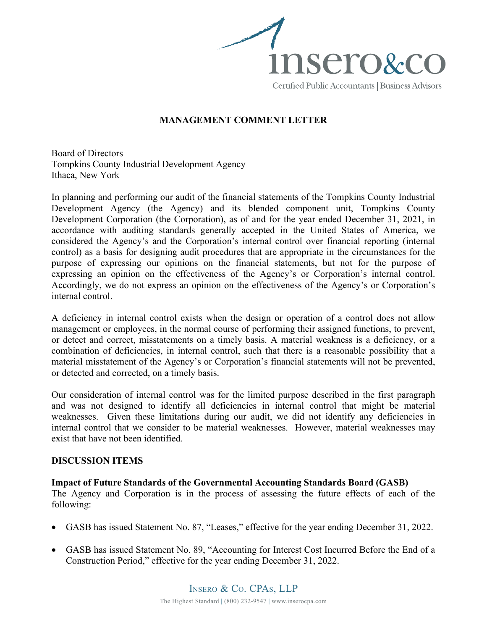

## **MANAGEMENT COMMENT LETTER**

Board of Directors Tompkins County Industrial Development Agency Ithaca, New York

In planning and performing our audit of the financial statements of the Tompkins County Industrial Development Agency (the Agency) and its blended component unit, Tompkins County Development Corporation (the Corporation), as of and for the year ended December 31, 2021, in accordance with auditing standards generally accepted in the United States of America, we considered the Agency's and the Corporation's internal control over financial reporting (internal control) as a basis for designing audit procedures that are appropriate in the circumstances for the purpose of expressing our opinions on the financial statements, but not for the purpose of expressing an opinion on the effectiveness of the Agency's or Corporation's internal control. Accordingly, we do not express an opinion on the effectiveness of the Agency's or Corporation's internal control.

A deficiency in internal control exists when the design or operation of a control does not allow management or employees, in the normal course of performing their assigned functions, to prevent, or detect and correct, misstatements on a timely basis. A material weakness is a deficiency, or a combination of deficiencies, in internal control, such that there is a reasonable possibility that a material misstatement of the Agency's or Corporation's financial statements will not be prevented, or detected and corrected, on a timely basis.

Our consideration of internal control was for the limited purpose described in the first paragraph and was not designed to identify all deficiencies in internal control that might be material weaknesses. Given these limitations during our audit, we did not identify any deficiencies in internal control that we consider to be material weaknesses. However, material weaknesses may exist that have not been identified.

## **DISCUSSION ITEMS**

## **Impact of Future Standards of the Governmental Accounting Standards Board (GASB)**

The Agency and Corporation is in the process of assessing the future effects of each of the following:

- GASB has issued Statement No. 87, "Leases," effective for the year ending December 31, 2022.
- GASB has issued Statement No. 89, "Accounting for Interest Cost Incurred Before the End of a Construction Period," effective for the year ending December 31, 2022.